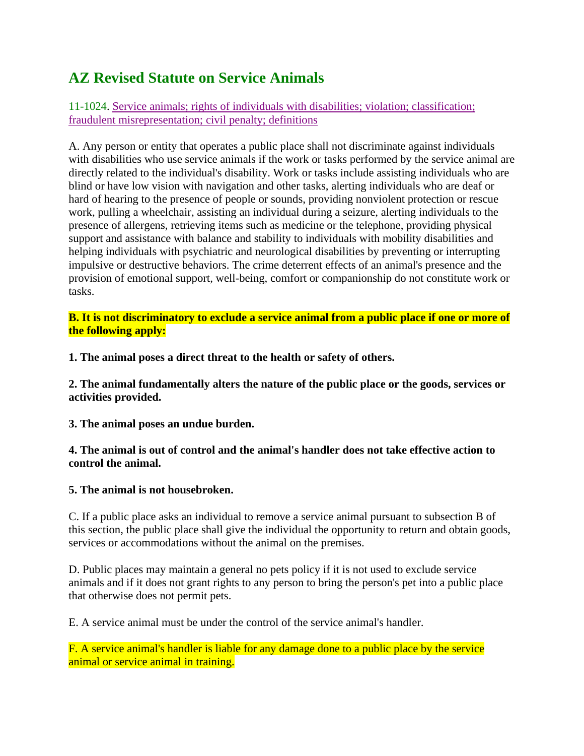## **AZ Revised Statute on Service Animals**

11-1024. Service animals; rights of individuals with disabilities; violation; classification; fraudulent misrepresentation; civil penalty; definitions

A. Any person or entity that operates a public place shall not discriminate against individuals with disabilities who use service animals if the work or tasks performed by the service animal are directly related to the individual's disability. Work or tasks include assisting individuals who are blind or have low vision with navigation and other tasks, alerting individuals who are deaf or hard of hearing to the presence of people or sounds, providing nonviolent protection or rescue work, pulling a wheelchair, assisting an individual during a seizure, alerting individuals to the presence of allergens, retrieving items such as medicine or the telephone, providing physical support and assistance with balance and stability to individuals with mobility disabilities and helping individuals with psychiatric and neurological disabilities by preventing or interrupting impulsive or destructive behaviors. The crime deterrent effects of an animal's presence and the provision of emotional support, well-being, comfort or companionship do not constitute work or tasks.

**B. It is not discriminatory to exclude a service animal from a public place if one or more of the following apply:**

**1. The animal poses a direct threat to the health or safety of others.**

**2. The animal fundamentally alters the nature of the public place or the goods, services or activities provided.**

**3. The animal poses an undue burden.**

**4. The animal is out of control and the animal's handler does not take effective action to control the animal.**

## **5. The animal is not housebroken.**

C. If a public place asks an individual to remove a service animal pursuant to subsection B of this section, the public place shall give the individual the opportunity to return and obtain goods, services or accommodations without the animal on the premises.

D. Public places may maintain a general no pets policy if it is not used to exclude service animals and if it does not grant rights to any person to bring the person's pet into a public place that otherwise does not permit pets.

E. A service animal must be under the control of the service animal's handler.

F. A service animal's handler is liable for any damage done to a public place by the service animal or service animal in training.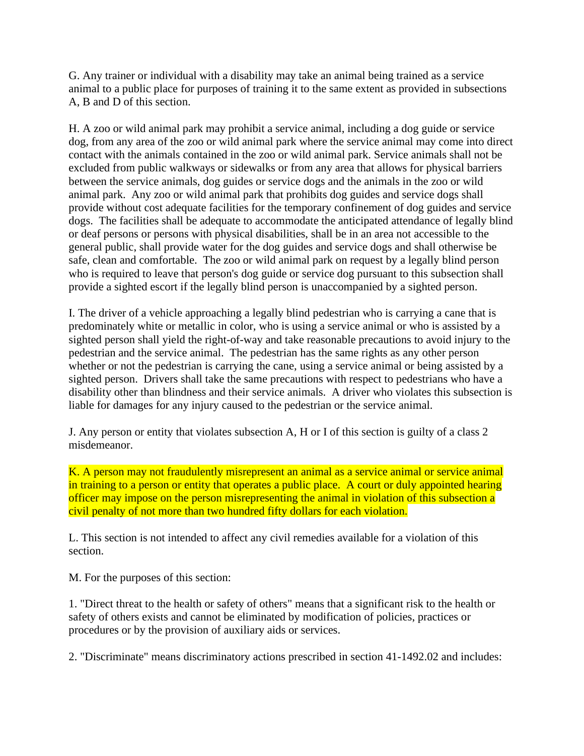G. Any trainer or individual with a disability may take an animal being trained as a service animal to a public place for purposes of training it to the same extent as provided in subsections A, B and D of this section.

H. A zoo or wild animal park may prohibit a service animal, including a dog guide or service dog, from any area of the zoo or wild animal park where the service animal may come into direct contact with the animals contained in the zoo or wild animal park. Service animals shall not be excluded from public walkways or sidewalks or from any area that allows for physical barriers between the service animals, dog guides or service dogs and the animals in the zoo or wild animal park. Any zoo or wild animal park that prohibits dog guides and service dogs shall provide without cost adequate facilities for the temporary confinement of dog guides and service dogs. The facilities shall be adequate to accommodate the anticipated attendance of legally blind or deaf persons or persons with physical disabilities, shall be in an area not accessible to the general public, shall provide water for the dog guides and service dogs and shall otherwise be safe, clean and comfortable. The zoo or wild animal park on request by a legally blind person who is required to leave that person's dog guide or service dog pursuant to this subsection shall provide a sighted escort if the legally blind person is unaccompanied by a sighted person.

I. The driver of a vehicle approaching a legally blind pedestrian who is carrying a cane that is predominately white or metallic in color, who is using a service animal or who is assisted by a sighted person shall yield the right-of-way and take reasonable precautions to avoid injury to the pedestrian and the service animal. The pedestrian has the same rights as any other person whether or not the pedestrian is carrying the cane, using a service animal or being assisted by a sighted person. Drivers shall take the same precautions with respect to pedestrians who have a disability other than blindness and their service animals. A driver who violates this subsection is liable for damages for any injury caused to the pedestrian or the service animal.

J. Any person or entity that violates subsection A, H or I of this section is guilty of a class 2 misdemeanor.

K. A person may not fraudulently misrepresent an animal as a service animal or service animal in training to a person or entity that operates a public place. A court or duly appointed hearing officer may impose on the person misrepresenting the animal in violation of this subsection a civil penalty of not more than two hundred fifty dollars for each violation.

L. This section is not intended to affect any civil remedies available for a violation of this section.

M. For the purposes of this section:

1. "Direct threat to the health or safety of others" means that a significant risk to the health or safety of others exists and cannot be eliminated by modification of policies, practices or procedures or by the provision of auxiliary aids or services.

2. "Discriminate" means discriminatory actions prescribed in section 41-1492.02 and includes: